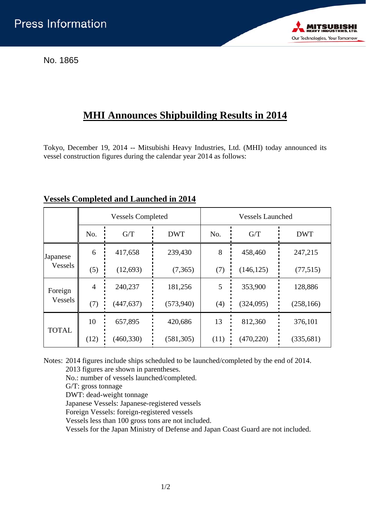No. 1865



## **MHI Announces Shipbuilding Results in 2014**

Tokyo, December 19, 2014 -- Mitsubishi Heavy Industries, Ltd. (MHI) today announced its vessel construction figures during the calendar year 2014 as follows:

|                     | <b>Vessels Completed</b> |            |            | <b>Vessels Launched</b> |            |            |
|---------------------|--------------------------|------------|------------|-------------------------|------------|------------|
|                     | No.                      | G/T        | <b>DWT</b> | No.                     | G/T        | <b>DWT</b> |
| Japanese<br>Vessels | 6                        | 417,658    | 239,430    | 8                       | 458,460    | 247,215    |
|                     | (5)                      | (12,693)   | (7,365)    | (7)                     | (146, 125) | (77, 515)  |
| Foreign<br>Vessels  | $\overline{4}$           | 240,237    | 181,256    | 5                       | 353,900    | 128,886    |
|                     | (7)                      | (447, 637) | (573, 940) | (4)                     | (324,095)  | (258, 166) |
| <b>TOTAL</b>        | 10                       | 657,895    | 420,686    | 13                      | 812,360    | 376,101    |
|                     | (12)                     | (460, 330) | (581, 305) | (11)                    | (470, 220) | (335, 681) |

## **Vessels Completed and Launched in 2014**

Notes: 2014 figures include ships scheduled to be launched/completed by the end of 2014.

2013 figures are shown in parentheses.

No.: number of vessels launched/completed.

G/T: gross tonnage

DWT: dead-weight tonnage

Japanese Vessels: Japanese-registered vessels

Foreign Vessels: foreign-registered vessels

Vessels less than 100 gross tons are not included.

Vessels for the Japan Ministry of Defense and Japan Coast Guard are not included.